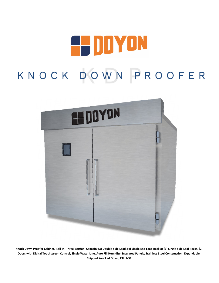



**Knock Down Proofer Cabinet, Roll-In, Three-Section, Capacity (3) Double Side Load, (4) Single End Load Rack or (6) Single Side Loaf Racks, (2) Doors with Digital Touchscreen Control, Single Water Line, Auto Fill Humidity, Insulated Panels, Stainless Steel Construction, Expandable, Shipped Knocked Down, ETL, NSF**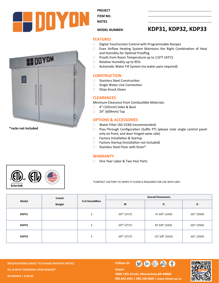

HOOYON



**NOTES** 

## **MODEL NUMBER: KDP31, KDP32, KDP33**

### **FEATURES**

- Digital Touchscreen Control with Programmable Recipes
- Even Airflow Heating System Maintains the Right Combination of Heat and Humidity for Optimal Proofing
- $\Box$  Proofs from Room Temperature up to 110°F (43°C)
- □ Relative Humidity up to 95%
- □ Automatic Water Fill System (no water pans required)

#### **CONSTRUCTION**

- □ Stainless Steel Construction
- □ Single Water Line Connection
- □ Ships Knock Down

#### **CLEARANCES**

Minimum Clearance from Combustible Materials:

- □ 4" (102mm) Sides & Back
- □ 24" (609mm) Top

## **OPTIONS & ACCESSORIES**

- □ Water Filter (50-1530) (recommended)
- □ Pass-Through Configuration (Suffix PT) (please note single control panel only on front, and door hinged same side)
- □ Factory Installation & Startup
- □ Factory Startup (Installation not Included)
- □ Stainless Steel Floor with Drain\*

#### **WARRANTY**

□ One Year Labor & Two Year Parts



**\*racks not included**

\*CONTACT FACTORY TO VERIFY IF FLOOR IS REQUIRED FOR USE WITH UNIT

| Model | Crated<br>Weight | # of Humidifiers | <b>Overall Dimensions</b> |                 |             |  |
|-------|------------------|------------------|---------------------------|-----------------|-------------|--|
|       |                  |                  | W                         | D               | н           |  |
| KDP31 |                  | $\overline{2}$   | 107" (2717)               | 47 3/8" (1203)  | 101" (2565) |  |
| KDP32 |                  | 3                | 107" (2717)               | 87 3/8" (1203)  | 101" (2565) |  |
| KDP33 |                  | 3                | 107" (2717)               | 127 3/8" (3235) | 101" (2565) |  |

**SPECIFICATIONS SUBJECT TO CHANGE WITHOUT NOTICE FOLLOW US KCL & REVIT DRAWINGS UPON REQUEST REVISION B | 5/20/22**



5600 13th Street, Menominee, MI 49858 **906.863.4401 | 800.338.9886 | [www.doyon.qc.ca](http://www.doyon.qc.ca/)**

 $\bigoplus$   $\bigoplus$   $\bigoplus$ 

**Doyon**